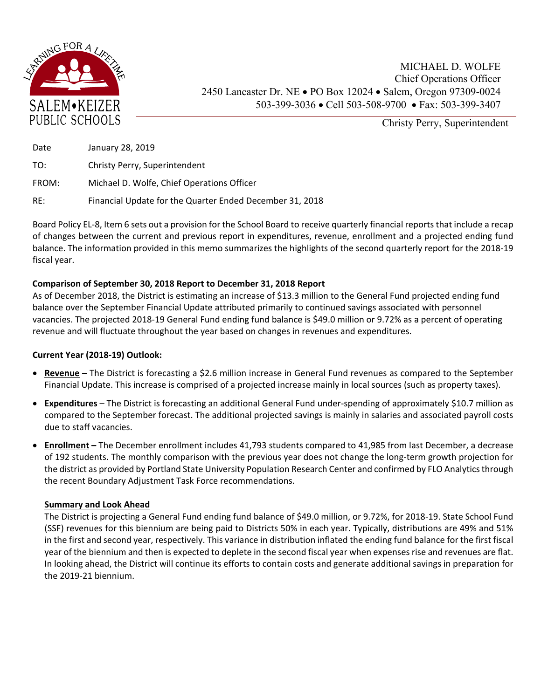

Christy Perry, Superintendent

| Date  | January 28, 2019                                         |
|-------|----------------------------------------------------------|
| TO:   | Christy Perry, Superintendent                            |
| FROM: | Michael D. Wolfe, Chief Operations Officer               |
| RE:   | Financial Update for the Quarter Ended December 31, 2018 |

Board Policy EL‐8, Item 6 sets out a provision for the School Board to receive quarterly financial reports that include a recap of changes between the current and previous report in expenditures, revenue, enrollment and a projected ending fund balance. The information provided in this memo summarizes the highlights of the second quarterly report for the 2018‐19 fiscal year.

## **Comparison of September 30, 2018 Report to December 31, 2018 Report**

As of December 2018, the District is estimating an increase of \$13.3 million to the General Fund projected ending fund balance over the September Financial Update attributed primarily to continued savings associated with personnel vacancies. The projected 2018‐19 General Fund ending fund balance is \$49.0 million or 9.72% as a percent of operating revenue and will fluctuate throughout the year based on changes in revenues and expenditures.

## **Current Year (2018‐19) Outlook:**

- **Revenue**  The District is forecasting a \$2.6 million increase in General Fund revenues as compared to the September Financial Update. This increase is comprised of a projected increase mainly in local sources (such as property taxes).
- **Expenditures** The District is forecasting an additional General Fund under-spending of approximately \$10.7 million as compared to the September forecast. The additional projected savings is mainly in salaries and associated payroll costs due to staff vacancies.
- **Enrollment** The December enrollment includes 41,793 students compared to 41,985 from last December, a decrease of 192 students. The monthly comparison with the previous year does not change the long-term growth projection for the district as provided by Portland State University Population Research Center and confirmed by FLO Analytics through the recent Boundary Adjustment Task Force recommendations.

## **Summary and Look Ahead**

The District is projecting a General Fund ending fund balance of \$49.0 million, or 9.72%, for 2018‐19. State School Fund (SSF) revenues for this biennium are being paid to Districts 50% in each year. Typically, distributions are 49% and 51% in the first and second year, respectively. This variance in distribution inflated the ending fund balance for the first fiscal year of the biennium and then is expected to deplete in the second fiscal year when expenses rise and revenues are flat. In looking ahead, the District will continue its efforts to contain costs and generate additional savings in preparation for the 2019‐21 biennium.